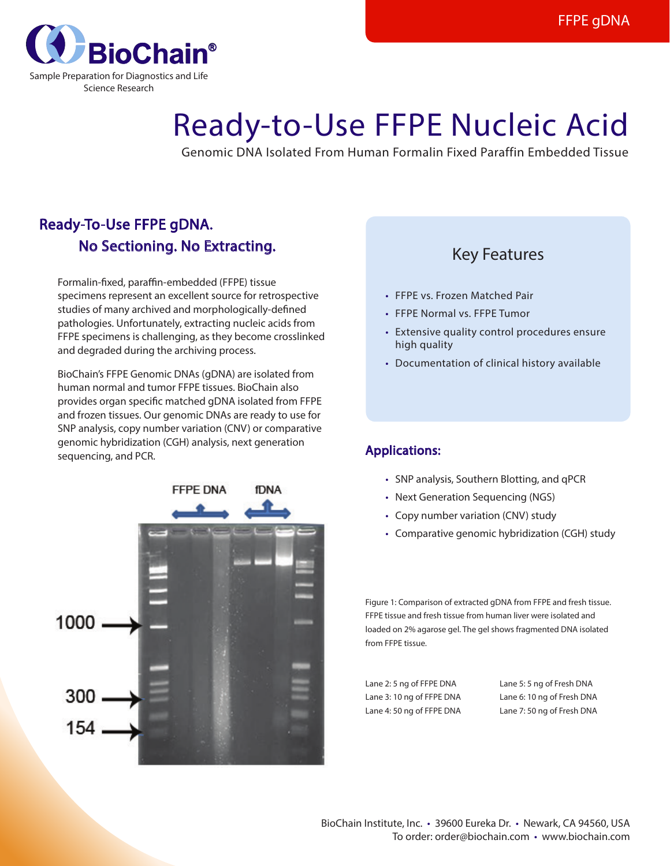

# Ready-to-Use FFPE Nucleic Acid

Genomic DNA Isolated From Human Formalin Fixed Paraffin Embedded Tissue

## Ready-To-Use FFPE gDNA. No Sectioning. No Extracting.

 Formalin-fixed, paraffin-embedded (FFPE) tissue specimens represent an excellent source for retrospective studies of many archived and morphologically-defined pathologies. Unfortunately, extracting nucleic acids from FFPE specimens is challenging, as they become crosslinked and degraded during the archiving process.

BioChain's FFPE Genomic DNAs (gDNA) are isolated from human normal and tumor FFPE tissues. BioChain also provides organ specific matched gDNA isolated from FFPE and frozen tissues. Our genomic DNAs are ready to use for SNP analysis, copy number variation (CNV) or comparative genomic hybridization (CGH) analysis, next generation sequencing, and PCR.



### Key Features

- FFPE vs. Frozen Matched Pair
- • FFPE Normal vs. FFPE Tumor
- Extensive quality control procedures ensure high quality
- Documentation of clinical history available

#### Applications:

- SNP analysis, Southern Blotting, and qPCR
- Next Generation Sequencing (NGS)
- Copy number variation (CNV) study
- Comparative genomic hybridization (CGH) study

Figure 1: Comparison of extracted gDNA from FFPE and fresh tissue. FFPE tissue and fresh tissue from human liver were isolated and loaded on 2% agarose gel. The gel shows fragmented DNA isolated from FFPE tissue.

Lane 2: 5 ng of FFPE DNA Lane 3: 10 ng of FFPE DNA Lane 4: 50 ng of FFPE DNA Lane 5: 5 ng of Fresh DNA Lane 6: 10 ng of Fresh DNA Lane 7: 50 ng of Fresh DNA